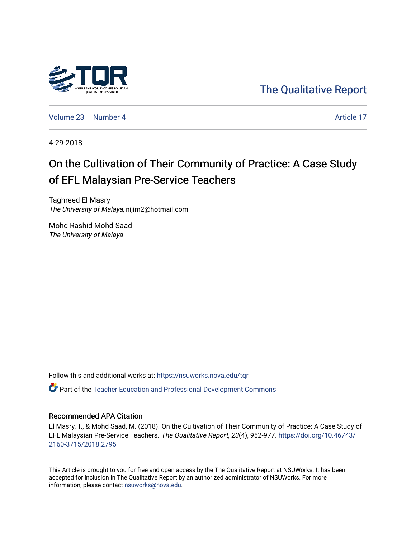

[The Qualitative Report](https://nsuworks.nova.edu/tqr) 

[Volume 23](https://nsuworks.nova.edu/tqr/vol23) [Number 4](https://nsuworks.nova.edu/tqr/vol23/iss4) Article 17

4-29-2018

# On the Cultivation of Their Community of Practice: A Case Study of EFL Malaysian Pre-Service Teachers

Taghreed El Masry The University of Malaya, nijim2@hotmail.com

Mohd Rashid Mohd Saad The University of Malaya

Follow this and additional works at: [https://nsuworks.nova.edu/tqr](https://nsuworks.nova.edu/tqr?utm_source=nsuworks.nova.edu%2Ftqr%2Fvol23%2Fiss4%2F17&utm_medium=PDF&utm_campaign=PDFCoverPages) 

Part of the [Teacher Education and Professional Development Commons](http://network.bepress.com/hgg/discipline/803?utm_source=nsuworks.nova.edu%2Ftqr%2Fvol23%2Fiss4%2F17&utm_medium=PDF&utm_campaign=PDFCoverPages) 

# Recommended APA Citation

El Masry, T., & Mohd Saad, M. (2018). On the Cultivation of Their Community of Practice: A Case Study of EFL Malaysian Pre-Service Teachers. The Qualitative Report, 23(4), 952-977. [https://doi.org/10.46743/](https://doi.org/10.46743/2160-3715/2018.2795) [2160-3715/2018.2795](https://doi.org/10.46743/2160-3715/2018.2795)

This Article is brought to you for free and open access by the The Qualitative Report at NSUWorks. It has been accepted for inclusion in The Qualitative Report by an authorized administrator of NSUWorks. For more information, please contact [nsuworks@nova.edu.](mailto:nsuworks@nova.edu)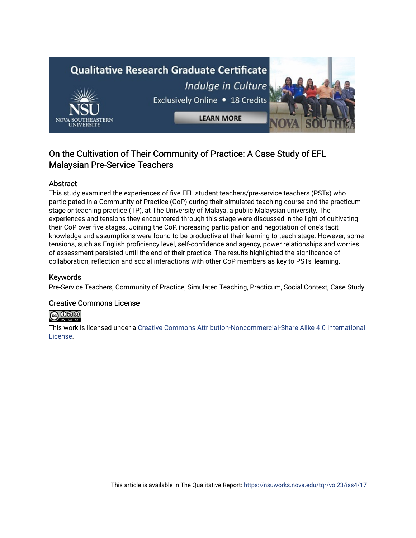# **Qualitative Research Graduate Certificate** Indulge in Culture Exclusively Online . 18 Credits **LEARN MORE**

# On the Cultivation of Their Community of Practice: A Case Study of EFL Malaysian Pre-Service Teachers

# Abstract

This study examined the experiences of five EFL student teachers/pre-service teachers (PSTs) who participated in a Community of Practice (CoP) during their simulated teaching course and the practicum stage or teaching practice (TP), at The University of Malaya, a public Malaysian university. The experiences and tensions they encountered through this stage were discussed in the light of cultivating their CoP over five stages. Joining the CoP, increasing participation and negotiation of one's tacit knowledge and assumptions were found to be productive at their learning to teach stage. However, some tensions, such as English proficiency level, self-confidence and agency, power relationships and worries of assessment persisted until the end of their practice. The results highlighted the significance of collaboration, reflection and social interactions with other CoP members as key to PSTs' learning.

# Keywords

Pre-Service Teachers, Community of Practice, Simulated Teaching, Practicum, Social Context, Case Study

# Creative Commons License



This work is licensed under a [Creative Commons Attribution-Noncommercial-Share Alike 4.0 International](https://creativecommons.org/licenses/by-nc-sa/4.0/)  [License](https://creativecommons.org/licenses/by-nc-sa/4.0/).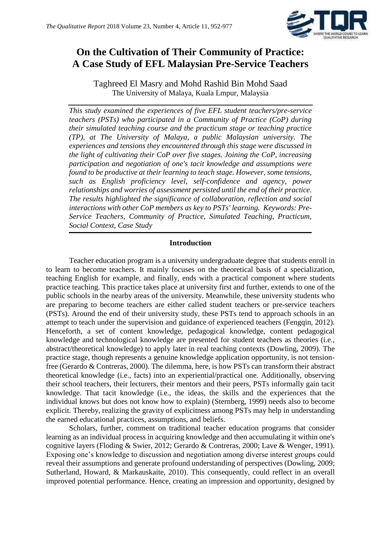

# **On the Cultivation of Their Community of Practice: A Case Study of EFL Malaysian Pre-Service Teachers**

Taghreed El Masry and Mohd Rashid Bin Mohd Saad The University of Malaya, Kuala Lmpur, Malaysia

*This study examined the experiences of five EFL student teachers/pre-service teachers (PSTs) who participated in a Community of Practice (CoP) during their simulated teaching course and the practicum stage or teaching practice (TP), at The University of Malaya, a public Malaysian university. The experiences and tensions they encountered through this stage were discussed in the light of cultivating their CoP over five stages. Joining the CoP, increasing participation and negotiation of one's tacit knowledge and assumptions were found to be productive at their learning to teach stage. However, some tensions, such as English proficiency level, self-confidence and agency, power relationships and worries of assessment persisted until the end of their practice. The results highlighted the significance of collaboration, reflection and social interactions with other CoP members as key to PSTs' learning. Keywords: Pre-Service Teachers, Community of Practice, Simulated Teaching, Practicum, Social Context, Case Study*

# **Introduction**

Teacher education program is a university undergraduate degree that students enroll in to learn to become teachers. It mainly focuses on the theoretical basis of a specialization, teaching English for example, and finally, ends with a practical component where students practice teaching. This practice takes place at university first and further, extends to one of the public schools in the nearby areas of the university. Meanwhile, these university students who are preparing to become teachers are either called student teachers or pre-service teachers (PSTs). Around the end of their university study, these PSTs tend to approach schools in an attempt to teach under the supervision and guidance of experienced teachers (Fengqin, 2012). Henceforth, a set of content knowledge, pedagogical knowledge, content pedagogical knowledge and technological knowledge are presented for student teachers as theories (i.e., abstract/theoretical knowledge) to apply later in real teaching contexts (Dowling, 2009). The practice stage, though represents a genuine knowledge application opportunity, is not tensionfree (Gerardo & Contreras, 2000). The dilemma, here, is how PSTs can transform their abstract theoretical knowledge (i.e., facts) into an experiential/practical one. Additionally, observing their school teachers, their lecturers, their mentors and their peers, PSTs informally gain tacit knowledge. That tacit knowledge (i.e., the ideas, the skills and the experiences that the individual knows but does not know how to explain) (Sternberg, 1999) needs also to become explicit. Thereby, realizing the gravity of explicitness among PSTs may help in understanding the earned educational practices, assumptions, and beliefs.

Scholars, further, comment on traditional teacher education programs that consider learning as an individual process in acquiring knowledge and then accumulating it within one's cognitive layers (Floding & Swier, 2012; Gerardo & Contreras, 2000; Lave & Wenger, 1991). Exposing one's knowledge to discussion and negotiation among diverse interest groups could reveal their assumptions and generate profound understanding of perspectives (Dowling, 2009; Sutherland, Howard, & Markauskaite, 2010). This consequently, could reflect in an overall improved potential performance. Hence, creating an impression and opportunity, designed by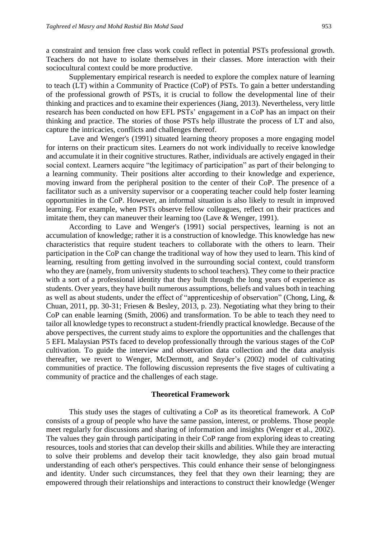a constraint and tension free class work could reflect in potential PSTs professional growth. Teachers do not have to isolate themselves in their classes. More interaction with their sociocultural context could be more productive.

Supplementary empirical research is needed to explore the complex nature of learning to teach (LT) within a Community of Practice (CoP) of PSTs. To gain a better understanding of the professional growth of PSTs, it is crucial to follow the developmental line of their thinking and practices and to examine their experiences (Jiang, 2013). Nevertheless, very little research has been conducted on how EFL PSTs' engagement in a CoP has an impact on their thinking and practice. The stories of those PSTs help illustrate the process of LT and also, capture the intricacies, conflicts and challenges thereof.

Lave and Wenger's (1991) situated learning theory proposes a more engaging model for interns on their practicum sites. Learners do not work individually to receive knowledge and accumulate it in their cognitive structures. Rather, individuals are actively engaged in their social context. Learners acquire "the legitimacy of participation" as part of their belonging to a learning community. Their positions alter according to their knowledge and experience, moving inward from the peripheral position to the center of their CoP. The presence of a facilitator such as a university supervisor or a cooperating teacher could help foster learning opportunities in the CoP. However, an informal situation is also likely to result in improved learning. For example, when PSTs observe fellow colleagues, reflect on their practices and imitate them, they can maneuver their learning too (Lave & Wenger, 1991).

According to Lave and Wenger's (1991) social perspectives, learning is not an accumulation of knowledge; rather it is a construction of knowledge. This knowledge has new characteristics that require student teachers to collaborate with the others to learn. Their participation in the CoP can change the traditional way of how they used to learn. This kind of learning, resulting from getting involved in the surrounding social context, could transform who they are (namely, from university students to school teachers). They come to their practice with a sort of a professional identity that they built through the long years of experience as students. Over years, they have built numerous assumptions, beliefs and values both in teaching as well as about students, under the effect of "apprenticeship of observation" (Chong, Ling, & Chuan, 2011, pp. 30-31; Friesen & Besley, 2013, p. 23). Negotiating what they bring to their CoP can enable learning (Smith, 2006) and transformation. To be able to teach they need to tailor all knowledge types to reconstruct a student-friendly practical knowledge. Because of the above perspectives, the current study aims to explore the opportunities and the challenges that 5 EFL Malaysian PSTs faced to develop professionally through the various stages of the CoP cultivation. To guide the interview and observation data collection and the data analysis thereafter, we revert to Wenger, McDermott, and Snyder's (2002) model of cultivating communities of practice. The following discussion represents the five stages of cultivating a community of practice and the challenges of each stage.

#### **Theoretical Framework**

This study uses the stages of cultivating a CoP as its theoretical framework. A CoP consists of a group of people who have the same passion, interest, or problems. Those people meet regularly for discussions and sharing of information and insights (Wenger et al., 2002). The values they gain through participating in their CoP range from exploring ideas to creating resources, tools and stories that can develop their skills and abilities. While they are interacting to solve their problems and develop their tacit knowledge, they also gain broad mutual understanding of each other's perspectives. This could enhance their sense of belongingness and identity. Under such circumstances, they feel that they own their learning; they are empowered through their relationships and interactions to construct their knowledge (Wenger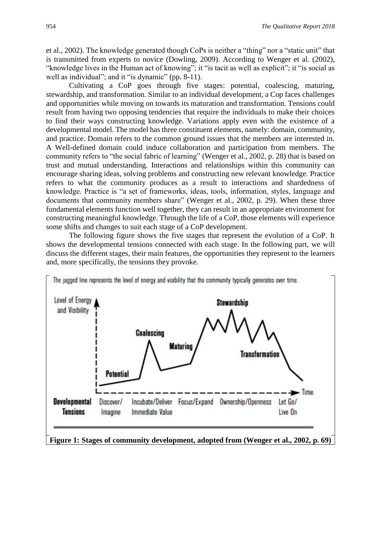et al., 2002). The knowledge generated though CoPs is neither a "thing" nor a "static unit" that is transmitted from experts to novice (Dowling, 2009). According to Wenger et al. (2002), "knowledge lives in the Human act of knowing"; it "is tacit as well as explicit"; it "is social as well as individual"; and it "is dynamic" (pp. 8-11).

Cultivating a CoP goes through five stages: potential, coalescing, maturing, stewardship, and transformation. Similar to an individual development, a Cop faces challenges and opportunities while moving on towards its maturation and transformation. Tensions could result from having two opposing tendencies that require the individuals to make their choices to find their ways constructing knowledge. Variations apply even with the existence of a developmental model. The model has three constituent elements, namely: domain, community, and practice. Domain refers to the common ground issues that the members are interested in. A Well-defined domain could induce collaboration and participation from members. The community refers to "the social fabric of learning" (Wenger et al., 2002, p. 28) that is based on trust and mutual understanding. Interactions and relationships within this community can encourage sharing ideas, solving problems and constructing new relevant knowledge. Practice refers to what the community produces as a result to interactions and shardedness of knowledge. Practice is "a set of frameworks, ideas, tools, information, styles, language and documents that community members share" (Wenger et al., 2002, p. 29). When these three fundamental elements function well together, they can result in an appropriate environment for constructing meaningful knowledge. Through the life of a CoP, those elements will experience some shifts and changes to suit each stage of a CoP development.

The following figure shows the five stages that represent the evolution of a CoP. It shows the developmental tensions connected with each stage. In the following part, we will discuss the different stages, their main features, the opportunities they represent to the learners and, more specifically, the tensions they provoke.

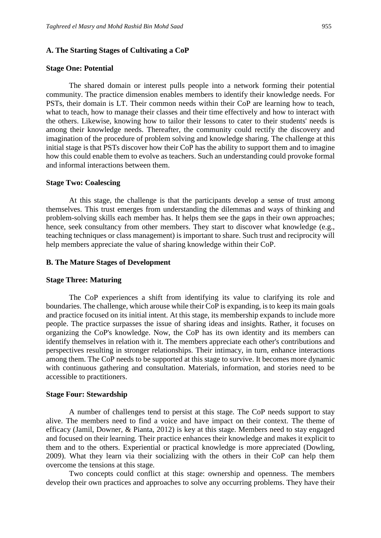#### **A. The Starting Stages of Cultivating a CoP**

#### **Stage One: Potential**

The shared domain or interest pulls people into a network forming their potential community. The practice dimension enables members to identify their knowledge needs. For PSTs, their domain is LT. Their common needs within their CoP are learning how to teach, what to teach, how to manage their classes and their time effectively and how to interact with the others. Likewise, knowing how to tailor their lessons to cater to their students' needs is among their knowledge needs. Thereafter, the community could rectify the discovery and imagination of the procedure of problem solving and knowledge sharing. The challenge at this initial stage is that PSTs discover how their CoP has the ability to support them and to imagine how this could enable them to evolve as teachers. Such an understanding could provoke formal and informal interactions between them.

#### **Stage Two: Coalescing**

At this stage, the challenge is that the participants develop a sense of trust among themselves. This trust emerges from understanding the dilemmas and ways of thinking and problem-solving skills each member has. It helps them see the gaps in their own approaches; hence, seek consultancy from other members. They start to discover what knowledge (e.g., teaching techniques or class management) is important to share. Such trust and reciprocity will help members appreciate the value of sharing knowledge within their CoP.

## **B. The Mature Stages of Development**

#### **Stage Three: Maturing**

The CoP experiences a shift from identifying its value to clarifying its role and boundaries. The challenge, which arouse while their CoP is expanding, is to keep its main goals and practice focused on its initial intent. At this stage, its membership expands to include more people. The practice surpasses the issue of sharing ideas and insights. Rather, it focuses on organizing the CoP's knowledge. Now, the CoP has its own identity and its members can identify themselves in relation with it. The members appreciate each other's contributions and perspectives resulting in stronger relationships. Their intimacy, in turn, enhance interactions among them. The CoP needs to be supported at this stage to survive. It becomes more dynamic with continuous gathering and consultation. Materials, information, and stories need to be accessible to practitioners.

# **Stage Four: Stewardship**

A number of challenges tend to persist at this stage. The CoP needs support to stay alive. The members need to find a voice and have impact on their context. The theme of efficacy (Jamil, Downer, & Pianta, 2012) is key at this stage. Members need to stay engaged and focused on their learning. Their practice enhances their knowledge and makes it explicit to them and to the others. Experiential or practical knowledge is more appreciated (Dowling, 2009). What they learn via their socializing with the others in their CoP can help them overcome the tensions at this stage.

Two concepts could conflict at this stage: ownership and openness. The members develop their own practices and approaches to solve any occurring problems. They have their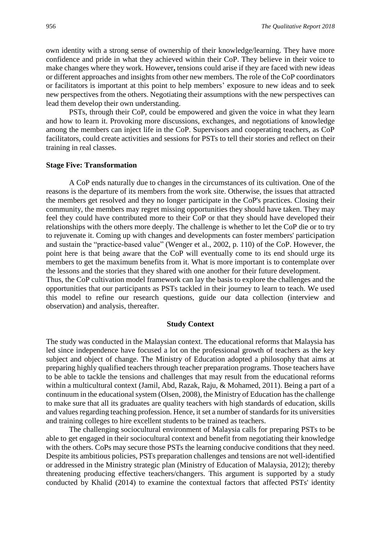own identity with a strong sense of ownership of their knowledge/learning. They have more confidence and pride in what they achieved within their CoP. They believe in their voice to make changes where they work. However**,** tensions could arise if they are faced with new ideas or different approaches and insights from other new members. The role of the CoP coordinators or facilitators is important at this point to help members' exposure to new ideas and to seek new perspectives from the others. Negotiating their assumptions with the new perspectives can lead them develop their own understanding.

PSTs, through their CoP, could be empowered and given the voice in what they learn and how to learn it. Provoking more discussions, exchanges, and negotiations of knowledge among the members can inject life in the CoP. Supervisors and cooperating teachers, as CoP facilitators, could create activities and sessions for PSTs to tell their stories and reflect on their training in real classes.

#### **Stage Five: Transformation**

A CoP ends naturally due to changes in the circumstances of its cultivation. One of the reasons is the departure of its members from the work site. Otherwise, the issues that attracted the members get resolved and they no longer participate in the CoP's practices. Closing their community, the members may regret missing opportunities they should have taken. They may feel they could have contributed more to their CoP or that they should have developed their relationships with the others more deeply. The challenge is whether to let the CoP die or to try to rejuvenate it. Coming up with changes and developments can foster members' participation and sustain the "practice-based value" (Wenger et al., 2002, p. 110) of the CoP. However, the point here is that being aware that the CoP will eventually come to its end should urge its members to get the maximum benefits from it. What is more important is to contemplate over the lessons and the stories that they shared with one another for their future development. Thus, the CoP cultivation model framework can lay the basis to explore the challenges and the opportunities that our participants as PSTs tackled in their journey to learn to teach. We used

this model to refine our research questions, guide our data collection (interview and observation) and analysis, thereafter.

#### **Study Context**

The study was conducted in the Malaysian context. The educational reforms that Malaysia has led since independence have focused a lot on the professional growth of teachers as the key subject and object of change. The Ministry of Education adopted a philosophy that aims at preparing highly qualified teachers through teacher preparation programs. Those teachers have to be able to tackle the tensions and challenges that may result from the educational reforms within a multicultural context (Jamil, Abd, Razak, Raju, & Mohamed, 2011). Being a part of a continuum in the educational system (Olsen, 2008), the Ministry of Education has the challenge to make sure that all its graduates are quality teachers with high standards of education, skills and values regarding teaching profession. Hence, it set a number of standards for its universities and training colleges to hire excellent students to be trained as teachers.

The challenging sociocultural environment of Malaysia calls for preparing PSTs to be able to get engaged in their sociocultural context and benefit from negotiating their knowledge with the others. CoPs may secure those PSTs the learning conducive conditions that they need. Despite its ambitious policies, PSTs preparation challenges and tensions are not well-identified or addressed in the Ministry strategic plan (Ministry of Education of Malaysia, 2012); thereby threatening producing effective teachers/changers. This argument is supported by a study conducted by Khalid (2014) to examine the contextual factors that affected PSTs' identity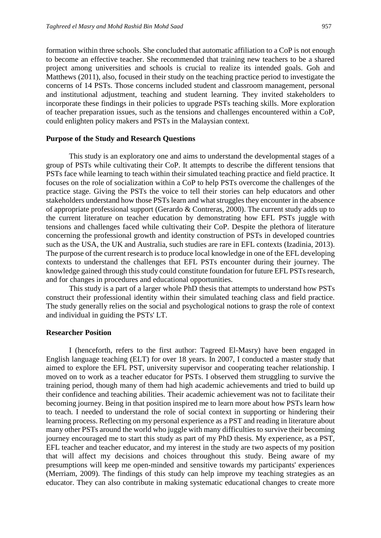formation within three schools. She concluded that automatic affiliation to a CoP is not enough to become an effective teacher. She recommended that training new teachers to be a shared project among universities and schools is crucial to realize its intended goals. Goh and Matthews (2011), also, focused in their study on the teaching practice period to investigate the concerns of 14 PSTs. Those concerns included student and classroom management, personal and institutional adjustment, teaching and student learning. They invited stakeholders to incorporate these findings in their policies to upgrade PSTs teaching skills. More exploration of teacher preparation issues, such as the tensions and challenges encountered within a CoP, could enlighten policy makers and PSTs in the Malaysian context.

# **Purpose of the Study and Research Questions**

This study is an exploratory one and aims to understand the developmental stages of a group of PSTs while cultivating their CoP. It attempts to describe the different tensions that PSTs face while learning to teach within their simulated teaching practice and field practice. It focuses on the role of socialization within a CoP to help PSTs overcome the challenges of the practice stage. Giving the PSTs the voice to tell their stories can help educators and other stakeholders understand how those PSTs learn and what struggles they encounter in the absence of appropriate professional support (Gerardo & Contreras, 2000). The current study adds up to the current literature on teacher education by demonstrating how EFL PSTs juggle with tensions and challenges faced while cultivating their CoP. Despite the plethora of literature concerning the professional growth and identity construction of PSTs in developed countries such as the USA, the UK and Australia, such studies are rare in EFL contexts (Izadinia, 2013). The purpose of the current research is to produce local knowledge in one of the EFL developing contexts to understand the challenges that EFL PSTs encounter during their journey. The knowledge gained through this study could constitute foundation for future EFL PSTs research, and for changes in procedures and educational opportunities.

This study is a part of a larger whole PhD thesis that attempts to understand how PSTs construct their professional identity within their simulated teaching class and field practice. The study generally relies on the social and psychological notions to grasp the role of context and individual in guiding the PSTs' LT.

#### **Researcher Position**

I (henceforth, refers to the first author: Tagreed El-Masry) have been engaged in English language teaching (ELT) for over 18 years. In 2007, I conducted a master study that aimed to explore the EFL PST, university supervisor and cooperating teacher relationship. I moved on to work as a teacher educator for PSTs. I observed them struggling to survive the training period, though many of them had high academic achievements and tried to build up their confidence and teaching abilities. Their academic achievement was not to facilitate their becoming journey. Being in that position inspired me to learn more about how PSTs learn how to teach. I needed to understand the role of social context in supporting or hindering their learning process. Reflecting on my personal experience as a PST and reading in literature about many other PSTs around the world who juggle with many difficulties to survive their becoming journey encouraged me to start this study as part of my PhD thesis. My experience, as a PST, EFL teacher and teacher educator, and my interest in the study are two aspects of my position that will affect my decisions and choices throughout this study. Being aware of my presumptions will keep me open-minded and sensitive towards my participants' experiences (Merriam, 2009). The findings of this study can help improve my teaching strategies as an educator. They can also contribute in making systematic educational changes to create more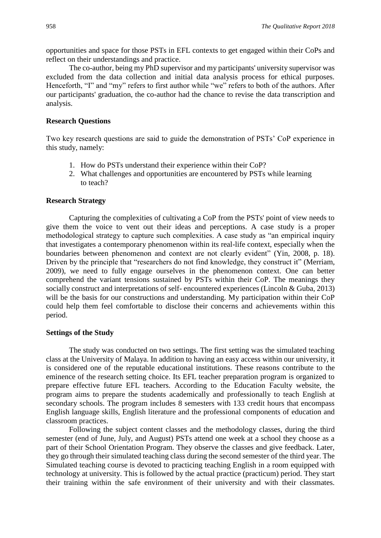opportunities and space for those PSTs in EFL contexts to get engaged within their CoPs and reflect on their understandings and practice.

The co-author, being my PhD supervisor and my participants' university supervisor was excluded from the data collection and initial data analysis process for ethical purposes. Henceforth, "I" and "my" refers to first author while "we" refers to both of the authors. After our participants' graduation, the co-author had the chance to revise the data transcription and analysis.

# **Research Questions**

Two key research questions are said to guide the demonstration of PSTs' CoP experience in this study, namely:

- 1. How do PSTs understand their experience within their CoP?
- 2. What challenges and opportunities are encountered by PSTs while learning to teach?

# **Research Strategy**

Capturing the complexities of cultivating a CoP from the PSTs' point of view needs to give them the voice to vent out their ideas and perceptions. A case study is a proper methodological strategy to capture such complexities. A case study as "an empirical inquiry that investigates a contemporary phenomenon within its real-life context, especially when the boundaries between phenomenon and context are not clearly evident" (Yin, 2008, p. 18). Driven by the principle that "researchers do not find knowledge, they construct it" (Merriam, 2009), we need to fully engage ourselves in the phenomenon context. One can better comprehend the variant tensions sustained by PSTs within their CoP. The meanings they socially construct and interpretations of self- encountered experiences (Lincoln & Guba, 2013) will be the basis for our constructions and understanding. My participation within their CoP could help them feel comfortable to disclose their concerns and achievements within this period.

#### **Settings of the Study**

The study was conducted on two settings. The first setting was the simulated teaching class at the University of Malaya. In addition to having an easy access within our university, it is considered one of the reputable educational institutions. These reasons contribute to the eminence of the research setting choice. Its EFL teacher preparation program is organized to prepare effective future EFL teachers. According to the Education Faculty website, the program aims to prepare the students academically and professionally to teach English at secondary schools. The program includes 8 semesters with 133 credit hours that encompass English language skills, English literature and the professional components of education and classroom practices.

Following the subject content classes and the methodology classes, during the third semester (end of June, July, and August) PSTs attend one week at a school they choose as a part of their School Orientation Program. They observe the classes and give feedback. Later, they go through their simulated teaching class during the second semester of the third year. The Simulated teaching course is devoted to practicing teaching English in a room equipped with technology at university. This is followed by the actual practice (practicum) period. They start their training within the safe environment of their university and with their classmates.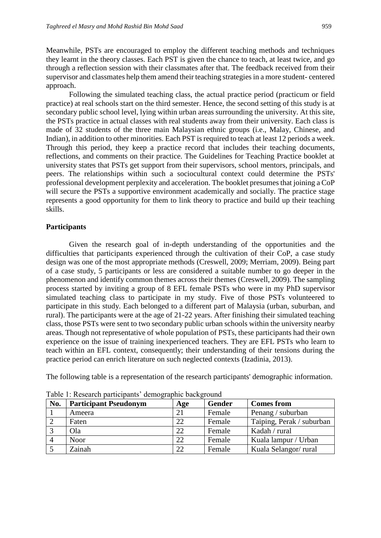Meanwhile, PSTs are encouraged to employ the different teaching methods and techniques they learnt in the theory classes. Each PST is given the chance to teach, at least twice, and go through a reflection session with their classmates after that. The feedback received from their supervisor and classmates help them amend their teaching strategies in a more student- centered approach.

Following the simulated teaching class, the actual practice period (practicum or field practice) at real schools start on the third semester. Hence, the second setting of this study is at secondary public school level, lying within urban areas surrounding the university. At this site, the PSTs practice in actual classes with real students away from their university. Each class is made of 32 students of the three main Malaysian ethnic groups (i.e., Malay, Chinese, and Indian), in addition to other minorities. Each PST is required to teach at least 12 periods a week. Through this period, they keep a practice record that includes their teaching documents, reflections, and comments on their practice. The Guidelines for Teaching Practice booklet at university states that PSTs get support from their supervisors, school mentors, principals, and peers. The relationships within such a sociocultural context could determine the PSTs' professional development perplexity and acceleration. The booklet presumes that joining a CoP will secure the PSTs a supportive environment academically and socially. The practice stage represents a good opportunity for them to link theory to practice and build up their teaching skills.

# **Participants**

Given the research goal of in-depth understanding of the opportunities and the difficulties that participants experienced through the cultivation of their CoP, a case study design was one of the most appropriate methods (Creswell, 2009; Merriam, 2009). Being part of a case study, 5 participants or less are considered a suitable number to go deeper in the phenomenon and identify common themes across their themes (Creswell, 2009). The sampling process started by inviting a group of 8 EFL female PSTs who were in my PhD supervisor simulated teaching class to participate in my study. Five of those PSTs volunteered to participate in this study. Each belonged to a different part of Malaysia (urban, suburban, and rural). The participants were at the age of 21-22 years. After finishing their simulated teaching class, those PSTs were sent to two secondary public urban schools within the university nearby areas. Though not representative of whole population of PSTs, these participants had their own experience on the issue of training inexperienced teachers. They are EFL PSTs who learn to teach within an EFL context, consequently; their understanding of their tensions during the practice period can enrich literature on such neglected contexts (Izadinia, 2013).

The following table is a representation of the research participants' demographic information.

| No. | <b>Participant Pseudonym</b> | Age | <b>Gender</b> | <b>Comes from</b>         |
|-----|------------------------------|-----|---------------|---------------------------|
|     | Ameera                       | 21  | Female        | Penang / suburban         |
|     | Faten                        | 22  | Female        | Taiping, Perak / suburban |
|     | Ola                          | 22  | Female        | Kadah / rural             |
|     | <b>Noor</b>                  | 22  | Female        | Kuala lampur / Urban      |
|     | Zainah                       | 22  | Female        | Kuala Selangor/rural      |

Table 1: Research participants' demographic background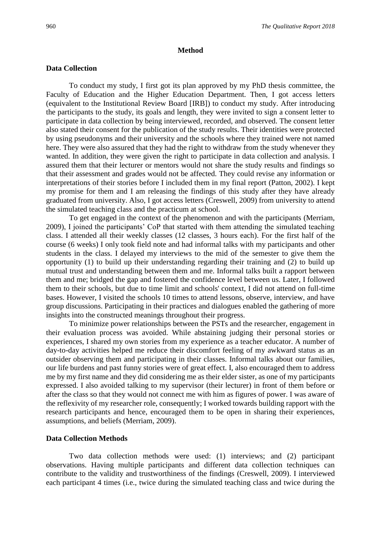#### **Method**

## **Data Collection**

To conduct my study, I first got its plan approved by my PhD thesis committee, the Faculty of Education and the Higher Education Department. Then, I got access letters (equivalent to the Institutional Review Board [IRB]) to conduct my study. After introducing the participants to the study, its goals and length, they were invited to sign a consent letter to participate in data collection by being interviewed, recorded, and observed. The consent letter also stated their consent for the publication of the study results. Their identities were protected by using pseudonyms and their university and the schools where they trained were not named here. They were also assured that they had the right to withdraw from the study whenever they wanted. In addition, they were given the right to participate in data collection and analysis. I assured them that their lecturer or mentors would not share the study results and findings so that their assessment and grades would not be affected. They could revise any information or interpretations of their stories before I included them in my final report (Patton, 2002). I kept my promise for them and I am releasing the findings of this study after they have already graduated from university. Also, I got access letters (Creswell, 2009) from university to attend the simulated teaching class and the practicum at school.

To get engaged in the context of the phenomenon and with the participants (Merriam, 2009), I joined the participants' CoP that started with them attending the simulated teaching class. I attended all their weekly classes (12 classes, 3 hours each). For the first half of the course (6 weeks) I only took field note and had informal talks with my participants and other students in the class. I delayed my interviews to the mid of the semester to give them the opportunity (1) to build up their understanding regarding their training and (2) to build up mutual trust and understanding between them and me. Informal talks built a rapport between them and me; bridged the gap and fostered the confidence level between us. Later, I followed them to their schools, but due to time limit and schools' context, I did not attend on full-time bases. However, I visited the schools 10 times to attend lessons, observe, interview, and have group discussions. Participating in their practices and dialogues enabled the gathering of more insights into the constructed meanings throughout their progress.

To minimize power relationships between the PSTs and the researcher, engagement in their evaluation process was avoided. While abstaining judging their personal stories or experiences, I shared my own stories from my experience as a teacher educator. A number of day-to-day activities helped me reduce their discomfort feeling of my awkward status as an outsider observing them and participating in their classes. Informal talks about our families, our life burdens and past funny stories were of great effect. I, also encouraged them to address me by my first name and they did considering me as their elder sister, as one of my participants expressed. I also avoided talking to my supervisor (their lecturer) in front of them before or after the class so that they would not connect me with him as figures of power. I was aware of the reflexivity of my researcher role, consequently; I worked towards building rapport with the research participants and hence, encouraged them to be open in sharing their experiences, assumptions, and beliefs (Merriam, 2009).

# **Data Collection Methods**

Two data collection methods were used: (1) interviews; and (2) participant observations. Having multiple participants and different data collection techniques can contribute to the validity and trustworthiness of the findings (Creswell, 2009). I interviewed each participant 4 times (i.e., twice during the simulated teaching class and twice during the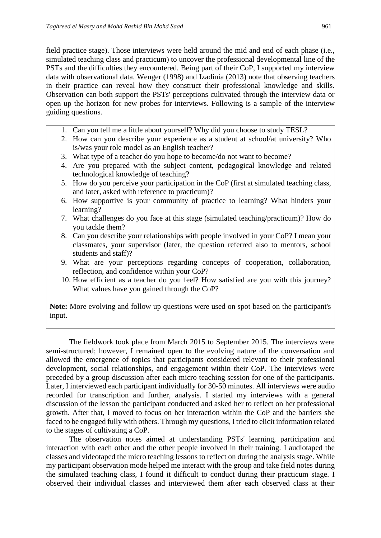field practice stage). Those interviews were held around the mid and end of each phase (i.e., simulated teaching class and practicum) to uncover the professional developmental line of the PSTs and the difficulties they encountered. Being part of their CoP, I supported my interview data with observational data. Wenger (1998) and Izadinia (2013) note that observing teachers in their practice can reveal how they construct their professional knowledge and skills. Observation can both support the PSTs' perceptions cultivated through the interview data or open up the horizon for new probes for interviews. Following is a sample of the interview guiding questions.

- 1. Can you tell me a little about yourself? Why did you choose to study TESL?
- 2. How can you describe your experience as a student at school/at university? Who is/was your role model as an English teacher?
- 3. What type of a teacher do you hope to become/do not want to become?
- 4. Are you prepared with the subject content, pedagogical knowledge and related technological knowledge of teaching?
- 5. How do you perceive your participation in the CoP (first at simulated teaching class, and later, asked with reference to practicum)?
- 6. How supportive is your community of practice to learning? What hinders your learning?
- 7. What challenges do you face at this stage (simulated teaching/practicum)? How do you tackle them?
- 8. Can you describe your relationships with people involved in your CoP? I mean your classmates, your supervisor (later, the question referred also to mentors, school students and staff)?
- 9. What are your perceptions regarding concepts of cooperation, collaboration, reflection, and confidence within your CoP?
- 10. How efficient as a teacher do you feel? How satisfied are you with this journey? What values have you gained through the CoP?

**Note:** More evolving and follow up questions were used on spot based on the participant's input.

The fieldwork took place from March 2015 to September 2015. The interviews were semi-structured; however, I remained open to the evolving nature of the conversation and allowed the emergence of topics that participants considered relevant to their professional development, social relationships, and engagement within their CoP. The interviews were preceded by a group discussion after each micro teaching session for one of the participants. Later, I interviewed each participant individually for 30-50 minutes. All interviews were audio recorded for transcription and further, analysis. I started my interviews with a general discussion of the lesson the participant conducted and asked her to reflect on her professional growth. After that, I moved to focus on her interaction within the CoP and the barriers she faced to be engaged fully with others. Through my questions, I tried to elicit information related to the stages of cultivating a CoP.

The observation notes aimed at understanding PSTs' learning, participation and interaction with each other and the other people involved in their training. I audiotaped the classes and videotaped the micro teaching lessons to reflect on during the analysis stage. While my participant observation mode helped me interact with the group and take field notes during the simulated teaching class, I found it difficult to conduct during their practicum stage. I observed their individual classes and interviewed them after each observed class at their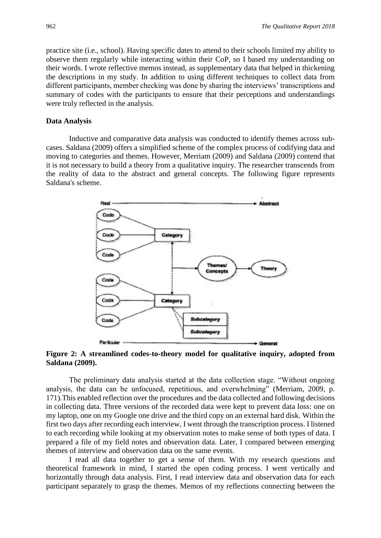practice site (i.e., school). Having specific dates to attend to their schools limited my ability to observe them regularly while interacting within their CoP, so I based my understanding on their words. I wrote reflective memos instead, as supplementary data that helped in thickening the descriptions in my study. In addition to using different techniques to collect data from different participants, member checking was done by sharing the interviews' transcriptions and summary of codes with the participants to ensure that their perceptions and understandings were truly reflected in the analysis.

## **Data Analysis**

Inductive and comparative data analysis was conducted to identify themes across subcases. Saldana (2009) offers a simplified scheme of the complex process of codifying data and moving to categories and themes. However, Merriam (2009) and Saldana (2009) contend that it is not necessary to build a theory from a qualitative inquiry. The researcher transcends from the reality of data to the abstract and general concepts. The following figure represents Saldana's scheme.



**Figure 2: A streamlined codes-to-theory model for qualitative inquiry, adopted from Saldana (2009).**

The preliminary data analysis started at the data collection stage. "Without ongoing analysis, the data can be unfocused, repetitious, and overwhelming" (Merriam, 2009, p. 171).This enabled reflection over the procedures and the data collected and following decisions in collecting data. Three versions of the recorded data were kept to prevent data loss: one on my laptop, one on my Google one drive and the third copy on an external hard disk. Within the first two days after recording each interview, I went through the transcription process. I listened to each recording while looking at my observation notes to make sense of both types of data. I prepared a file of my field notes and observation data. Later, I compared between emerging themes of interview and observation data on the same events.

I read all data together to get a sense of them. With my research questions and theoretical framework in mind, I started the open coding process. I went vertically and horizontally through data analysis. First, I read interview data and observation data for each participant separately to grasp the themes. Memos of my reflections connecting between the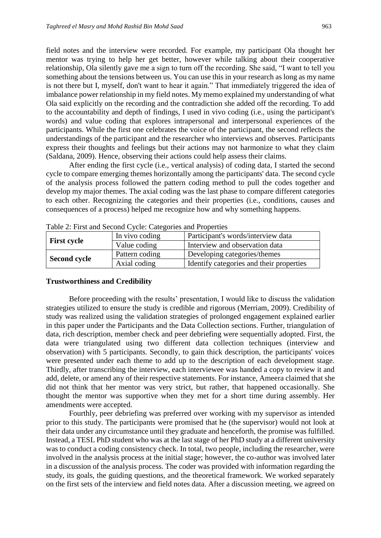field notes and the interview were recorded. For example, my participant Ola thought her mentor was trying to help her get better, however while talking about their cooperative relationship, Ola silently gave me a sign to turn off the recording. She said, "I want to tell you something about the tensions between us. You can use this in your research as long as my name is not there but I, myself, don't want to hear it again." That immediately triggered the idea of imbalance power relationship in my field notes. My memo explained my understanding of what Ola said explicitly on the recording and the contradiction she added off the recording. To add to the accountability and depth of findings, I used in vivo coding (i.e., using the participant's words) and value coding that explores intrapersonal and interpersonal experiences of the participants. While the first one celebrates the voice of the participant, the second reflects the understandings of the participant and the researcher who interviews and observes. Participants express their thoughts and feelings but their actions may not harmonize to what they claim (Saldana, 2009). Hence, observing their actions could help assess their claims.

After ending the first cycle (i.e., vertical analysis) of coding data, I started the second cycle to compare emerging themes horizontally among the participants' data. The second cycle of the analysis process followed the pattern coding method to pull the codes together and develop my major themes. The axial coding was the last phase to compare different categories to each other. Recognizing the categories and their properties (i.e., conditions, causes and consequences of a process) helped me recognize how and why something happens.

| $1400$ $\mu$ , $1400$ and Decond $\sigma$ (city, eally critics and Troperties |                |                                          |  |  |  |
|-------------------------------------------------------------------------------|----------------|------------------------------------------|--|--|--|
|                                                                               | In vivo coding | Participant's words/interview data       |  |  |  |
| <b>First cycle</b>                                                            | Value coding   | Interview and observation data           |  |  |  |
|                                                                               | Pattern coding | Developing categories/themes             |  |  |  |
| <b>Second cycle</b>                                                           | Axial coding   | Identify categories and their properties |  |  |  |

Table 2: First and Second Cycle: Categories and Properties

#### **Trustworthiness and Credibility**

Before proceeding with the results' presentation, I would like to discuss the validation strategies utilized to ensure the study is credible and rigorous (Merriam, 2009). Credibility of study was realized using the validation strategies of prolonged engagement explained earlier in this paper under the Participants and the Data Collection sections. Further, triangulation of data, rich description, member check and peer debriefing were sequentially adopted. First, the data were triangulated using two different data collection techniques (interview and observation) with 5 participants. Secondly, to gain thick description, the participants' voices were presented under each theme to add up to the description of each development stage. Thirdly, after transcribing the interview, each interviewee was handed a copy to review it and add, delete, or amend any of their respective statements. For instance, Ameera claimed that she did not think that her mentor was very strict, but rather, that happened occasionally. She thought the mentor was supportive when they met for a short time during assembly. Her amendments were accepted.

Fourthly, peer debriefing was preferred over working with my supervisor as intended prior to this study. The participants were promised that he (the supervisor) would not look at their data under any circumstance until they graduate and henceforth, the promise was fulfilled. Instead, a TESL PhD student who was at the last stage of her PhD study at a different university was to conduct a coding consistency check. In total, two people, including the researcher, were involved in the analysis process at the initial stage; however, the co-author was involved later in a discussion of the analysis process. The coder was provided with information regarding the study, its goals, the guiding questions, and the theoretical framework. We worked separately on the first sets of the interview and field notes data. After a discussion meeting, we agreed on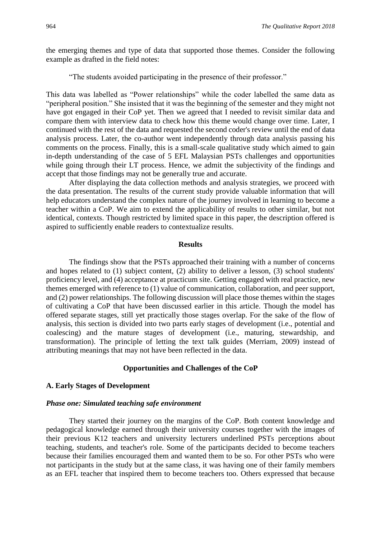the emerging themes and type of data that supported those themes. Consider the following example as drafted in the field notes:

"The students avoided participating in the presence of their professor."

This data was labelled as "Power relationships" while the coder labelled the same data as "peripheral position." She insisted that it was the beginning of the semester and they might not have got engaged in their CoP yet. Then we agreed that I needed to revisit similar data and compare them with interview data to check how this theme would change over time. Later, I continued with the rest of the data and requested the second coder's review until the end of data analysis process. Later, the co-author went independently through data analysis passing his comments on the process. Finally, this is a small-scale qualitative study which aimed to gain in-depth understanding of the case of 5 EFL Malaysian PSTs challenges and opportunities while going through their LT process. Hence, we admit the subjectivity of the findings and accept that those findings may not be generally true and accurate.

After displaying the data collection methods and analysis strategies, we proceed with the data presentation. The results of the current study provide valuable information that will help educators understand the complex nature of the journey involved in learning to become a teacher within a CoP. We aim to extend the applicability of results to other similar, but not identical, contexts. Though restricted by limited space in this paper, the description offered is aspired to sufficiently enable readers to contextualize results.

## **Results**

The findings show that the PSTs approached their training with a number of concerns and hopes related to (1) subject content, (2) ability to deliver a lesson, (3) school students' proficiency level, and (4) acceptance at practicum site. Getting engaged with real practice, new themes emerged with reference to (1) value of communication, collaboration, and peer support, and (2) power relationships. The following discussion will place those themes within the stages of cultivating a CoP that have been discussed earlier in this article. Though the model has offered separate stages, still yet practically those stages overlap. For the sake of the flow of analysis, this section is divided into two parts early stages of development (i.e., potential and coalescing) and the mature stages of development (i.e., maturing, stewardship, and transformation). The principle of letting the text talk guides (Merriam, 2009) instead of attributing meanings that may not have been reflected in the data.

# **Opportunities and Challenges of the CoP**

# **A. Early Stages of Development**

# *Phase one: Simulated teaching safe environment*

They started their journey on the margins of the CoP. Both content knowledge and pedagogical knowledge earned through their university courses together with the images of their previous K12 teachers and university lecturers underlined PSTs perceptions about teaching, students, and teacher's role. Some of the participants decided to become teachers because their families encouraged them and wanted them to be so. For other PSTs who were not participants in the study but at the same class, it was having one of their family members as an EFL teacher that inspired them to become teachers too. Others expressed that because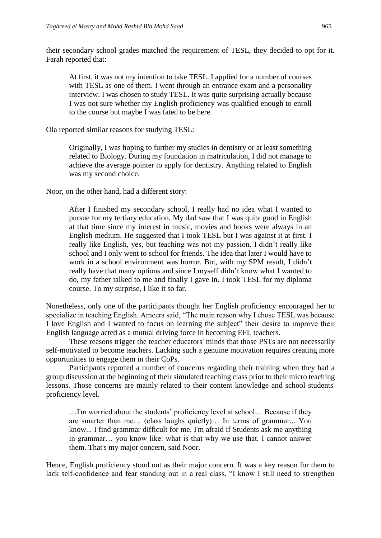their secondary school grades matched the requirement of TESL, they decided to opt for it. Farah reported that:

At first, it was not my intention to take TESL. I applied for a number of courses with TESL as one of them. I went through an entrance exam and a personality interview. I was chosen to study TESL. It was quite surprising actually because I was not sure whether my English proficiency was qualified enough to enroll to the course but maybe I was fated to be here.

Ola reported similar reasons for studying TESL:

Originally, I was hoping to further my studies in dentistry or at least something related to Biology. During my foundation in matriculation, I did not manage to achieve the average pointer to apply for dentistry. Anything related to English was my second choice.

Noor, on the other hand, had a different story:

After I finished my secondary school, I really had no idea what I wanted to pursue for my tertiary education. My dad saw that I was quite good in English at that time since my interest in music, movies and books were always in an English medium. He suggested that I took TESL but I was against it at first. I really like English, yes, but teaching was not my passion. I didn't really like school and I only went to school for friends. The idea that later I would have to work in a school environment was horror. But, with my SPM result, I didn't really have that many options and since I myself didn't know what I wanted to do, my father talked to me and finally I gave in. I took TESL for my diploma course. To my surprise, I like it so far.

Nonetheless, only one of the participants thought her English proficiency encouraged her to specialize in teaching English. Ameera said, "The main reason why I chose TESL was because I love English and I wanted to focus on learning the subject" their desire to improve their English language acted as a mutual driving force in becoming EFL teachers.

These reasons trigger the teacher educators' minds that those PSTs are not necessarily self-motivated to become teachers. Lacking such a genuine motivation requires creating more opportunities to engage them in their CoPs.

Participants reported a number of concerns regarding their training when they had a group discussion at the beginning of their simulated teaching class prior to their micro teaching lessons. Those concerns are mainly related to their content knowledge and school students' proficiency level.

…I'm worried about the students' proficiency level at school… Because if they are smarter than me… (class laughs quietly)… In terms of grammar... You know... I find grammar difficult for me. I'm afraid if Students ask me anything in grammar… you know like: what is that why we use that. I cannot answer them. That's my major concern, said Noor.

Hence, English proficiency stood out as their major concern. It was a key reason for them to lack self-confidence and fear standing out in a real class. "I know I still need to strengthen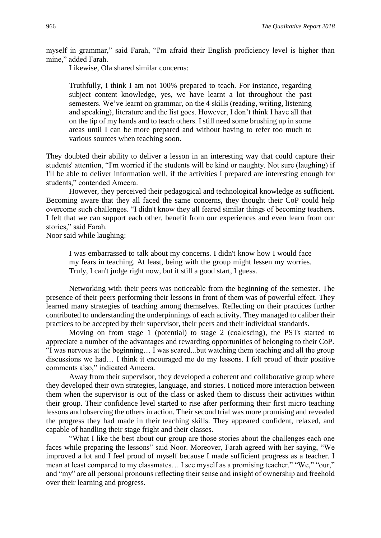myself in grammar," said Farah, "I'm afraid their English proficiency level is higher than mine," added Farah.

Likewise, Ola shared similar concerns:

Truthfully, I think I am not 100% prepared to teach. For instance, regarding subject content knowledge, yes, we have learnt a lot throughout the past semesters. We've learnt on grammar, on the 4 skills (reading, writing, listening and speaking), literature and the list goes. However, I don't think I have all that on the tip of my hands and to teach others. I still need some brushing up in some areas until I can be more prepared and without having to refer too much to various sources when teaching soon.

They doubted their ability to deliver a lesson in an interesting way that could capture their students' attention, "I'm worried if the students will be kind or naughty. Not sure (laughing) if I'll be able to deliver information well, if the activities I prepared are interesting enough for students," contended Ameera.

However, they perceived their pedagogical and technological knowledge as sufficient. Becoming aware that they all faced the same concerns, they thought their CoP could help overcome such challenges. "I didn't know they all feared similar things of becoming teachers. I felt that we can support each other, benefit from our experiences and even learn from our stories," said Farah.

Noor said while laughing:

I was embarrassed to talk about my concerns. I didn't know how I would face my fears in teaching. At least, being with the group might lessen my worries. Truly, I can't judge right now, but it still a good start, I guess.

Networking with their peers was noticeable from the beginning of the semester. The presence of their peers performing their lessons in front of them was of powerful effect. They learned many strategies of teaching among themselves. Reflecting on their practices further contributed to understanding the underpinnings of each activity. They managed to caliber their practices to be accepted by their supervisor, their peers and their individual standards.

Moving on from stage 1 (potential) to stage 2 (coalescing), the PSTs started to appreciate a number of the advantages and rewarding opportunities of belonging to their CoP. "I was nervous at the beginning… I was scared...but watching them teaching and all the group discussions we had… I think it encouraged me do my lessons. I felt proud of their positive comments also," indicated Ameera.

Away from their supervisor, they developed a coherent and collaborative group where they developed their own strategies, language, and stories. I noticed more interaction between them when the supervisor is out of the class or asked them to discuss their activities within their group. Their confidence level started to rise after performing their first micro teaching lessons and observing the others in action. Their second trial was more promising and revealed the progress they had made in their teaching skills. They appeared confident, relaxed, and capable of handling their stage fright and their classes.

"What I like the best about our group are those stories about the challenges each one faces while preparing the lessons" said Noor. Moreover, Farah agreed with her saying, "We improved a lot and I feel proud of myself because I made sufficient progress as a teacher. I mean at least compared to my classmates… I see myself as a promising teacher." "We," "our," and "my" are all personal pronouns reflecting their sense and insight of ownership and freehold over their learning and progress.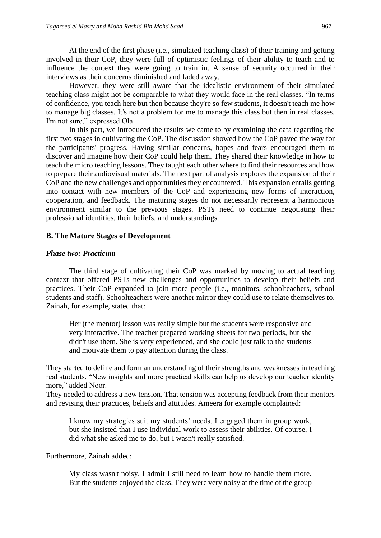At the end of the first phase (i.e., simulated teaching class) of their training and getting involved in their CoP, they were full of optimistic feelings of their ability to teach and to influence the context they were going to train in. A sense of security occurred in their interviews as their concerns diminished and faded away.

However, they were still aware that the idealistic environment of their simulated teaching class might not be comparable to what they would face in the real classes. "In terms of confidence, you teach here but then because they're so few students, it doesn't teach me how to manage big classes. It's not a problem for me to manage this class but then in real classes. I'm not sure," expressed Ola.

In this part, we introduced the results we came to by examining the data regarding the first two stages in cultivating the CoP. The discussion showed how the CoP paved the way for the participants' progress. Having similar concerns, hopes and fears encouraged them to discover and imagine how their CoP could help them. They shared their knowledge in how to teach the micro teaching lessons. They taught each other where to find their resources and how to prepare their audiovisual materials. The next part of analysis explores the expansion of their CoP and the new challenges and opportunities they encountered. This expansion entails getting into contact with new members of the CoP and experiencing new forms of interaction, cooperation, and feedback. The maturing stages do not necessarily represent a harmonious environment similar to the previous stages. PSTs need to continue negotiating their professional identities, their beliefs, and understandings.

# **B. The Mature Stages of Development**

#### *Phase two: Practicum*

The third stage of cultivating their CoP was marked by moving to actual teaching context that offered PSTs new challenges and opportunities to develop their beliefs and practices. Their CoP expanded to join more people (i.e., monitors, schoolteachers, school students and staff). Schoolteachers were another mirror they could use to relate themselves to. Zainah, for example, stated that:

Her (the mentor) lesson was really simple but the students were responsive and very interactive. The teacher prepared working sheets for two periods, but she didn't use them. She is very experienced, and she could just talk to the students and motivate them to pay attention during the class.

They started to define and form an understanding of their strengths and weaknesses in teaching real students. "New insights and more practical skills can help us develop our teacher identity more," added Noor.

They needed to address a new tension. That tension was accepting feedback from their mentors and revising their practices, beliefs and attitudes. Ameera for example complained:

I know my strategies suit my students' needs. I engaged them in group work, but she insisted that I use individual work to assess their abilities. Of course, I did what she asked me to do, but I wasn't really satisfied.

Furthermore, Zainah added:

My class wasn't noisy. I admit I still need to learn how to handle them more. But the students enjoyed the class. They were very noisy at the time of the group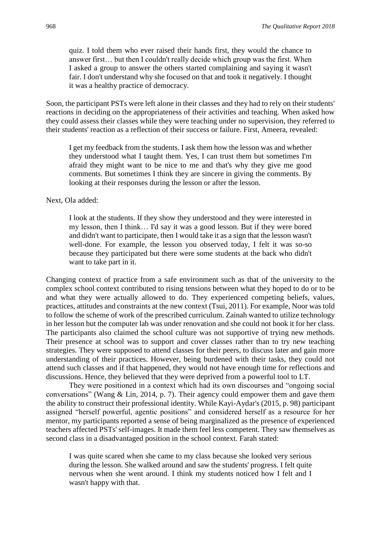quiz. I told them who ever raised their hands first, they would the chance to answer first… but then I couldn't really decide which group was the first. When I asked a group to answer the others started complaining and saying it wasn't fair. I don't understand why she focused on that and took it negatively. I thought it was a healthy practice of democracy.

Soon, the participant PSTs were left alone in their classes and they had to rely on their students' reactions in deciding on the appropriateness of their activities and teaching. When asked how they could assess their classes while they were teaching under no supervision, they referred to their students' reaction as a reflection of their success or failure. First, Ameera, revealed:

I get my feedback from the students. I ask them how the lesson was and whether they understood what I taught them. Yes, I can trust them but sometimes I'm afraid they might want to be nice to me and that's why they give me good comments. But sometimes I think they are sincere in giving the comments. By looking at their responses during the lesson or after the lesson.

Next, Ola added:

I look at the students. If they show they understood and they were interested in my lesson, then I think… I'd say it was a good lesson. But if they were bored and didn't want to participate, then I would take it as a sign that the lesson wasn't well-done. For example, the lesson you observed today, I felt it was so-so because they participated but there were some students at the back who didn't want to take part in it.

Changing context of practice from a safe environment such as that of the university to the complex school context contributed to rising tensions between what they hoped to do or to be and what they were actually allowed to do. They experienced competing beliefs, values, practices, attitudes and constraints at the new context (Tsui, 2011). For example, Noor was told to follow the scheme of work of the prescribed curriculum. Zainah wanted to utilize technology in her lesson but the computer lab was under renovation and she could not book it for her class. The participants also claimed the school culture was not supportive of trying new methods. Their presence at school was to support and cover classes rather than to try new teaching strategies. They were supposed to attend classes for their peers, to discuss later and gain more understanding of their practices. However, being burdened with their tasks, they could not attend such classes and if that happened, they would not have enough time for reflections and discussions. Hence, they believed that they were deprived from a powerful tool to LT.

They were positioned in a context which had its own discourses and "ongoing social conversations" (Wang & Lin, 2014, p. 7). Their agency could empower them and gave them the ability to construct their professional identity. While Kayi-Aydar's (2015, p. 98) participant assigned "herself powerful, agentic positions" and considered herself as a resource for her mentor, my participants reported a sense of being marginalized as the presence of experienced teachers affected PSTs' self-images. It made them feel less competent. They saw themselves as second class in a disadvantaged position in the school context. Farah stated:

I was quite scared when she came to my class because she looked very serious during the lesson. She walked around and saw the students' progress. I felt quite nervous when she went around. I think my students noticed how I felt and I wasn't happy with that.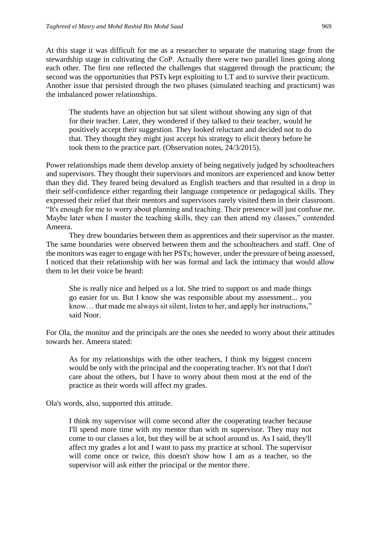At this stage it was difficult for me as a researcher to separate the maturing stage from the stewardship stage in cultivating the CoP. Actually there were two parallel lines going along each other. The first one reflected the challenges that staggered through the practicum; the second was the opportunities that PSTs kept exploiting to LT and to survive their practicum. Another issue that persisted through the two phases (simulated teaching and practicum) was the imbalanced power relationships.

The students have an objection but sat silent without showing any sign of that for their teacher. Later, they wondered if they talked to their teacher, would he positively accept their suggestion. They looked reluctant and decided not to do that. They thought they might just accept his strategy to elicit theory before he took them to the practice part. (Observation notes, 24/3/2015).

Power relationships made them develop anxiety of being negatively judged by schoolteachers and supervisors. They thought their supervisors and monitors are experienced and know better than they did. They feared being devalued as English teachers and that resulted in a drop in their self-confidence either regarding their language competence or pedagogical skills. They expressed their relief that their mentors and supervisors rarely visited them in their classroom. "It's enough for me to worry about planning and teaching. Their presence will just confuse me. Maybe later when I master the teaching skills, they can then attend my classes," contended Ameera.

They drew boundaries between them as apprentices and their supervisor as the master. The same boundaries were observed between them and the schoolteachers and staff. One of the monitors was eager to engage with her PSTs; however, under the pressure of being assessed, I noticed that their relationship with her was formal and lack the intimacy that would allow them to let their voice be heard:

She is really nice and helped us a lot. She tried to support us and made things go easier for us. But I know she was responsible about my assessment... you know… that made me always sit silent, listen to her, and apply her instructions," said Noor.

For Ola, the monitor and the principals are the ones she needed to worry about their attitudes towards her. Ameera stated:

As for my relationships with the other teachers, I think my biggest concern would be only with the principal and the cooperating teacher. It's not that I don't care about the others, but I have to worry about them most at the end of the practice as their words will affect my grades.

Ola's words, also, supported this attitude.

I think my supervisor will come second after the cooperating teacher because I'll spend more time with my mentor than with m supervisor. They may not come to our classes a lot, but they will be at school around us. As I said, they'll affect my grades a lot and I want to pass my practice at school. The supervisor will come once or twice, this doesn't show how I am as a teacher, so the supervisor will ask either the principal or the mentor there.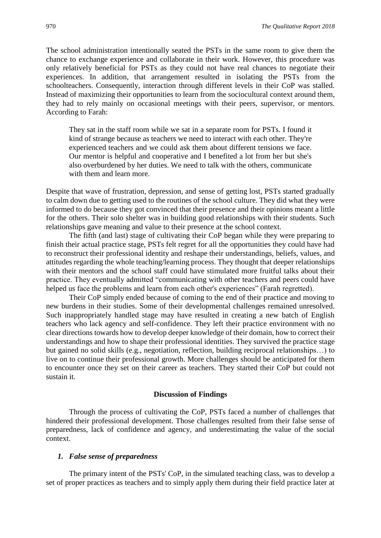The school administration intentionally seated the PSTs in the same room to give them the chance to exchange experience and collaborate in their work. However, this procedure was only relatively beneficial for PSTs as they could not have real chances to negotiate their experiences. In addition, that arrangement resulted in isolating the PSTs from the schoolteachers. Consequently, interaction through different levels in their CoP was stalled. Instead of maximizing their opportunities to learn from the sociocultural context around them, they had to rely mainly on occasional meetings with their peers, supervisor, or mentors. According to Farah:

They sat in the staff room while we sat in a separate room for PSTs. I found it kind of strange because as teachers we need to interact with each other. They're experienced teachers and we could ask them about different tensions we face. Our mentor is helpful and cooperative and I benefited a lot from her but she's also overburdened by her duties. We need to talk with the others, communicate with them and learn more.

Despite that wave of frustration, depression, and sense of getting lost, PSTs started gradually to calm down due to getting used to the routines of the school culture. They did what they were informed to do because they got convinced that their presence and their opinions meant a little for the others. Their solo shelter was in building good relationships with their students. Such relationships gave meaning and value to their presence at the school context.

The fifth (and last) stage of cultivating their CoP began while they were preparing to finish their actual practice stage, PSTs felt regret for all the opportunities they could have had to reconstruct their professional identity and reshape their understandings, beliefs, values, and attitudes regarding the whole teaching/learning process. They thought that deeper relationships with their mentors and the school staff could have stimulated more fruitful talks about their practice. They eventually admitted "communicating with other teachers and peers could have helped us face the problems and learn from each other's experiences" (Farah regretted).

Their CoP simply ended because of coming to the end of their practice and moving to new burdens in their studies. Some of their developmental challenges remained unresolved. Such inappropriately handled stage may have resulted in creating a new batch of English teachers who lack agency and self-confidence. They left their practice environment with no clear directions towards how to develop deeper knowledge of their domain, how to correct their understandings and how to shape their professional identities. They survived the practice stage but gained no solid skills (e.g., negotiation, reflection, building reciprocal relationships…) to live on to continue their professional growth. More challenges should be anticipated for them to encounter once they set on their career as teachers. They started their CoP but could not sustain it.

#### **Discussion of Findings**

Through the process of cultivating the CoP, PSTs faced a number of challenges that hindered their professional development. Those challenges resulted from their false sense of preparedness, lack of confidence and agency, and underestimating the value of the social context.

#### *1. False sense of preparedness*

The primary intent of the PSTs' CoP, in the simulated teaching class, was to develop a set of proper practices as teachers and to simply apply them during their field practice later at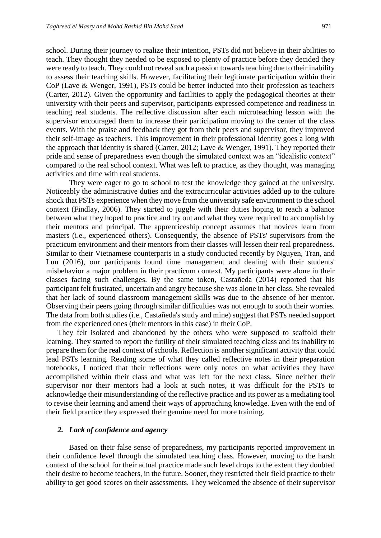school. During their journey to realize their intention, PSTs did not believe in their abilities to teach. They thought they needed to be exposed to plenty of practice before they decided they were ready to teach. They could not reveal such a passion towards teaching due to their inability to assess their teaching skills. However, facilitating their legitimate participation within their CoP (Lave & Wenger, 1991), PSTs could be better inducted into their profession as teachers (Carter, 2012). Given the opportunity and facilities to apply the pedagogical theories at their university with their peers and supervisor, participants expressed competence and readiness in teaching real students. The reflective discussion after each microteaching lesson with the supervisor encouraged them to increase their participation moving to the center of the class events. With the praise and feedback they got from their peers and supervisor, they improved their self-image as teachers. This improvement in their professional identity goes a long with the approach that identity is shared (Carter, 2012; Lave & Wenger, 1991). They reported their pride and sense of preparedness even though the simulated context was an "idealistic context" compared to the real school context. What was left to practice, as they thought, was managing activities and time with real students.

They were eager to go to school to test the knowledge they gained at the university. Noticeably the administrative duties and the extracurricular activities added up to the culture shock that PSTs experience when they move from the university safe environment to the school context (Findlay, 2006). They started to juggle with their duties hoping to reach a balance between what they hoped to practice and try out and what they were required to accomplish by their mentors and principal. The apprenticeship concept assumes that novices learn from masters (i.e., experienced others). Consequently, the absence of PSTs' supervisors from the practicum environment and their mentors from their classes will lessen their real preparedness. Similar to their Vietnamese counterparts in a study conducted recently by Nguyen, Tran, and Luu (2016), our participants found time management and dealing with their students' misbehavior a major problem in their practicum context. My participants were alone in their classes facing such challenges. By the same token, Castañeda (2014) reported that his participant felt frustrated, uncertain and angry because she was alone in her class. She revealed that her lack of sound classroom management skills was due to the absence of her mentor. Observing their peers going through similar difficulties was not enough to sooth their worries. The data from both studies (i.e., Castañeda's study and mine) suggest that PSTs needed support from the experienced ones (their mentors in this case) in their CoP.

They felt isolated and abandoned by the others who were supposed to scaffold their learning. They started to report the futility of their simulated teaching class and its inability to prepare them for the real context of schools. Reflection is another significant activity that could lead PSTs learning. Reading some of what they called reflective notes in their preparation notebooks, I noticed that their reflections were only notes on what activities they have accomplished within their class and what was left for the next class. Since neither their supervisor nor their mentors had a look at such notes, it was difficult for the PSTs to acknowledge their misunderstanding of the reflective practice and its power as a mediating tool to revise their learning and amend their ways of approaching knowledge. Even with the end of their field practice they expressed their genuine need for more training.

# *2. Lack of confidence and agency*

Based on their false sense of preparedness, my participants reported improvement in their confidence level through the simulated teaching class. However, moving to the harsh context of the school for their actual practice made such level drops to the extent they doubted their desire to become teachers, in the future. Sooner, they restricted their field practice to their ability to get good scores on their assessments. They welcomed the absence of their supervisor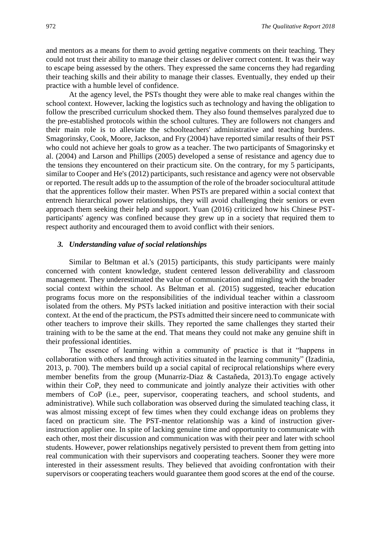and mentors as a means for them to avoid getting negative comments on their teaching. They could not trust their ability to manage their classes or deliver correct content. It was their way to escape being assessed by the others. They expressed the same concerns they had regarding their teaching skills and their ability to manage their classes. Eventually, they ended up their practice with a humble level of confidence.

At the agency level, the PSTs thought they were able to make real changes within the school context. However, lacking the logistics such as technology and having the obligation to follow the prescribed curriculum shocked them. They also found themselves paralyzed due to the pre-established protocols within the school cultures. They are followers not changers and their main role is to alleviate the schoolteachers' administrative and teaching burdens. Smagorinsky, Cook, Moore, Jackson, and Fry (2004) have reported similar results of their PST who could not achieve her goals to grow as a teacher. The two participants of Smagorinsky et al. (2004) and Larson and Phillips (2005) developed a sense of resistance and agency due to the tensions they encountered on their practicum site. On the contrary, for my 5 participants, similar to Cooper and He's (2012) participants, such resistance and agency were not observable or reported. The result adds up to the assumption of the role of the broader sociocultural attitude that the apprentices follow their master. When PSTs are prepared within a social context that entrench hierarchical power relationships, they will avoid challenging their seniors or even approach them seeking their help and support. Yuan (2016) criticized how his Chinese PSTparticipants' agency was confined because they grew up in a society that required them to respect authority and encouraged them to avoid conflict with their seniors.

# *3. Understanding value of social relationships*

Similar to Beltman et al.'s (2015) participants, this study participants were mainly concerned with content knowledge, student centered lesson deliverability and classroom management. They underestimated the value of communication and mingling with the broader social context within the school. As Beltman et al. (2015) suggested, teacher education programs focus more on the responsibilities of the individual teacher within a classroom isolated from the others. My PSTs lacked initiation and positive interaction with their social context. At the end of the practicum, the PSTs admitted their sincere need to communicate with other teachers to improve their skills. They reported the same challenges they started their training with to be the same at the end. That means they could not make any genuine shift in their professional identities.

The essence of learning within a community of practice is that it "happens in collaboration with others and through activities situated in the learning community" (Izadinia, 2013, p. 700). The members build up a social capital of reciprocal relationships where every member benefits from the group (Munarriz-Diaz & Castañeda, 2013).To engage actively within their CoP, they need to communicate and jointly analyze their activities with other members of CoP (i.e., peer, supervisor, cooperating teachers, and school students, and administrative). While such collaboration was observed during the simulated teaching class, it was almost missing except of few times when they could exchange ideas on problems they faced on practicum site. The PST-mentor relationship was a kind of instruction giverinstruction applier one. In spite of lacking genuine time and opportunity to communicate with each other, most their discussion and communication was with their peer and later with school students. However, power relationships negatively persisted to prevent them from getting into real communication with their supervisors and cooperating teachers. Sooner they were more interested in their assessment results. They believed that avoiding confrontation with their supervisors or cooperating teachers would guarantee them good scores at the end of the course.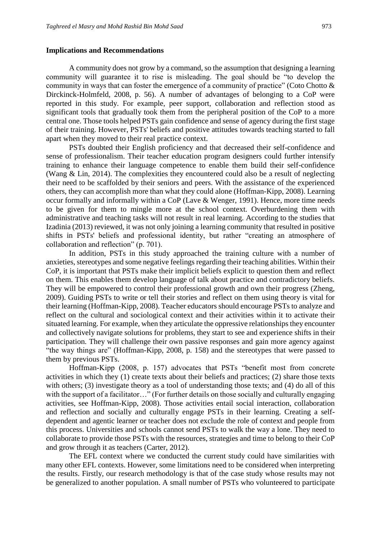#### **Implications and Recommendations**

A community does not grow by a command, so the assumption that designing a learning community will guarantee it to rise is misleading. The goal should be "to develop the community in ways that can foster the emergence of a community of practice" (Coto Chotto & Dirckinck-Holmfeld, 2008, p. 56). A number of advantages of belonging to a CoP were reported in this study. For example, peer support, collaboration and reflection stood as significant tools that gradually took them from the peripheral position of the CoP to a more central one. Those tools helped PSTs gain confidence and sense of agency during the first stage of their training. However, PSTs' beliefs and positive attitudes towards teaching started to fall apart when they moved to their real practice context.

PSTs doubted their English proficiency and that decreased their self-confidence and sense of professionalism. Their teacher education program designers could further intensify training to enhance their language competence to enable them build their self-confidence (Wang & Lin, 2014). The complexities they encountered could also be a result of neglecting their need to be scaffolded by their seniors and peers. With the assistance of the experienced others, they can accomplish more than what they could alone (Hoffman-Kipp, 2008). Learning occur formally and informally within a CoP (Lave & Wenger, 1991). Hence, more time needs to be given for them to mingle more at the school context. Overburdening them with administrative and teaching tasks will not result in real learning. According to the studies that Izadinia (2013) reviewed, it was not only joining a learning community that resulted in positive shifts in PSTs' beliefs and professional identity, but rather "creating an atmosphere of collaboration and reflection" (p. 701).

In addition, PSTs in this study approached the training culture with a number of anxieties, stereotypes and some negative feelings regarding their teaching abilities. Within their CoP, it is important that PSTs make their implicit beliefs explicit to question them and reflect on them. This enables them develop language of talk about practice and contradictory beliefs. They will be empowered to control their professional growth and own their progress (Zheng, 2009). Guiding PSTs to write or tell their stories and reflect on them using theory is vital for their learning (Hoffman-Kipp, 2008). Teacher educators should encourage PSTs to analyze and reflect on the cultural and sociological context and their activities within it to activate their situated learning. For example, when they articulate the oppressive relationships they encounter and collectively navigate solutions for problems, they start to see and experience shifts in their participation. They will challenge their own passive responses and gain more agency against "the way things are" (Hoffman-Kipp, 2008, p. 158) and the stereotypes that were passed to them by previous PSTs.

Hoffman-Kipp (2008, p. 157) advocates that PSTs "benefit most from concrete activities in which they (1) create texts about their beliefs and practices; (2) share those texts with others; (3) investigate theory as a tool of understanding those texts; and (4) do all of this with the support of a facilitator..." (For further details on those socially and culturally engaging activities, see Hoffman-Kipp, 2008). Those activities entail social interaction, collaboration and reflection and socially and culturally engage PSTs in their learning. Creating a selfdependent and agentic learner or teacher does not exclude the role of context and people from this process. Universities and schools cannot send PSTs to walk the way a lone. They need to collaborate to provide those PSTs with the resources, strategies and time to belong to their CoP and grow through it as teachers (Carter, 2012).

The EFL context where we conducted the current study could have similarities with many other EFL contexts. However, some limitations need to be considered when interpreting the results. Firstly, our research methodology is that of the case study whose results may not be generalized to another population. A small number of PSTs who volunteered to participate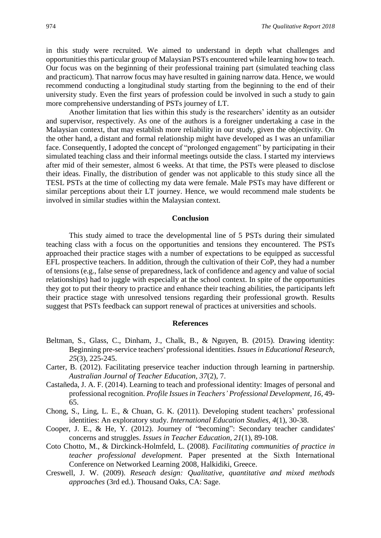in this study were recruited. We aimed to understand in depth what challenges and opportunities this particular group of Malaysian PSTs encountered while learning how to teach. Our focus was on the beginning of their professional training part (simulated teaching class and practicum). That narrow focus may have resulted in gaining narrow data. Hence, we would recommend conducting a longitudinal study starting from the beginning to the end of their university study. Even the first years of profession could be involved in such a study to gain more comprehensive understanding of PSTs journey of LT.

Another limitation that lies within this study is the researchers' identity as an outsider and supervisor, respectively. As one of the authors is a foreigner undertaking a case in the Malaysian context, that may establish more reliability in our study, given the objectivity. On the other hand, a distant and formal relationship might have developed as I was an unfamiliar face. Consequently, I adopted the concept of "prolonged engagement" by participating in their simulated teaching class and their informal meetings outside the class. I started my interviews after mid of their semester, almost 6 weeks. At that time, the PSTs were pleased to disclose their ideas. Finally, the distribution of gender was not applicable to this study since all the TESL PSTs at the time of collecting my data were female. Male PSTs may have different or similar perceptions about their LT journey. Hence, we would recommend male students be involved in similar studies within the Malaysian context.

#### **Conclusion**

This study aimed to trace the developmental line of 5 PSTs during their simulated teaching class with a focus on the opportunities and tensions they encountered. The PSTs approached their practice stages with a number of expectations to be equipped as successful EFL prospective teachers. In addition, through the cultivation of their CoP, they had a number of tensions (e.g., false sense of preparedness, lack of confidence and agency and value of social relationships) had to juggle with especially at the school context. In spite of the opportunities they got to put their theory to practice and enhance their teaching abilities, the participants left their practice stage with unresolved tensions regarding their professional growth. Results suggest that PSTs feedback can support renewal of practices at universities and schools.

#### **References**

- Beltman, S., Glass, C., Dinham, J., Chalk, B., & Nguyen, B. (2015). Drawing identity: Beginning pre-service teachers' professional identities. *Issues in Educational Research, 25*(3), 225-245.
- Carter, B. (2012). Facilitating preservice teacher induction through learning in partnership. *Australian Journal of Teacher Education, 37*(2), 7.
- Castañeda, J. A. F. (2014). Learning to teach and professional identity: Images of personal and professional recognition. *Profile Issues in Teachers' Professional Development, 16*, 49- 65.
- Chong, S., Ling, L. E., & Chuan, G. K. (2011). Developing student teachers' professional identities: An exploratory study. *International Education Studies, 4*(1), 30-38.
- Cooper, J. E., & He, Y. (2012). Journey of "becoming": Secondary teacher candidates' concerns and struggles. *Issues in Teacher Education, 21*(1), 89-108.
- Coto Chotto, M., & Dirckinck-Holmfeld, L. (2008). *Facilitating communities of practice in teacher professional development*. Paper presented at the Sixth International Conference on Networked Learning 2008, Halkidiki, Greece.
- Creswell, J. W. (2009). *Reseach design: Qualitative, quantitative and mixed methods approaches* (3rd ed.). Thousand Oaks, CA: Sage.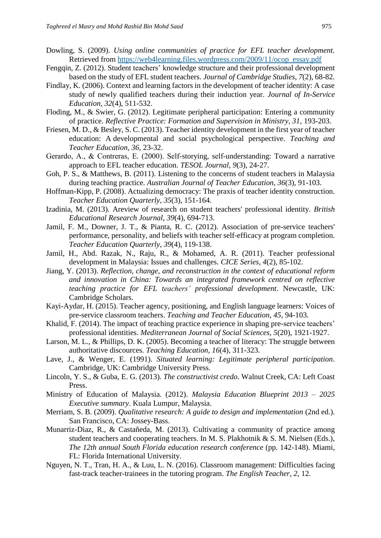- Dowling, S. (2009). *Using online communities of practice for EFL teacher development.* Retrieved from [https://web4learning.files.wordpress.com/2009/11/ocop\\_essay.pdf](https://web4learning.files.wordpress.com/2009/11/ocop_essay.pdf)
- Fengqin, Z. (2012). Student teachers' knowledge structure and their professional development based on the study of EFL student teachers. *Journal of Cambridge Studies, 7*(2), 68-82.
- Findlay, K. (2006). Context and learning factors in the development of teacher identity: A case study of newly qualified teachers during their induction year. *Journal of In-Service Education, 32*(4), 511-532.
- Floding, M., & Swier, G. (2012). Legitimate peripheral participation: Entering a community of practice. *Reflective Practice: Formation and Supervision in Ministry, 31*, 193-203.
- Friesen, M. D., & Besley, S. C. (2013). Teacher identity development in the first year of teacher education: A developmental and social psychological perspective. *Teaching and Teacher Education, 36*, 23-32.
- Gerardo, A., & Contreras, E. (2000). Self‐storying, self‐understanding: Toward a narrative approach to EFL teacher education. *TESOL Journal, 9*(3), 24-27.
- Goh, P. S., & Matthews, B. (2011). Listening to the concerns of student teachers in Malaysia during teaching practice. *Australian Journal of Teacher Education, 36*(3), 91-103.
- Hoffman-Kipp, P. (2008). Actualizing democracy: The praxis of teacher identity construction. *Teacher Education Quarterly, 35*(3), 151-164.
- Izadinia, M. (2013). Areview of research on student teachers' professional identity. *British Educational Research Journal, 39*(4), 694-713.
- Jamil, F. M., Downer, J. T., & Pianta, R. C. (2012). Association of pre-service teachers' performance, personality, and beliefs with teacher self-efficacy at program completion. *Teacher Education Quarterly, 39*(4), 119-138.
- Jamil, H., Abd. Razak, N., Raju, R., & Mohamed, A. R. (2011). Teacher professional development in Malaysia: Issues and challenges. *CICE Series, 4*(2), 85-102.
- Jiang, Y. (2013). *Reflection, change, and reconstruction in the context of educational reform and innovation in China: Towards an integrated framework centred on reflective teaching practice for EFL teachers' professional development*. Newcastle, UK: Cambridge Scholars.
- Kayi-Aydar, H. (2015). Teacher agency, positioning, and English language learners: Voices of pre-service classroom teachers. *Teaching and Teacher Education, 45*, 94-103.
- Khalid, F. (2014). The impact of teaching practice experience in shaping pre-service teachers' professional identities. *Mediterranean Journal of Social Sciences, 5*(20), 1921-1927.
- Larson, M. L., & Phillips, D. K. (2005). Becoming a teacher of literacy: The struggle between authoritative discources. *Teaching Education, 16*(4), 311-323.
- Lave, J., & Wenger, E. (1991). *Situated learning: Legitimate peripheral participation*. Cambridge, UK: Cambridge University Press.
- Lincoln, Y. S., & Guba, E. G. (2013). *The constructivist credo*. Walnut Creek, CA: Left Coast Press.
- Ministry of Education of Malaysia. (2012). *Malaysia Education Blueprint 2013 – 2025 Executive summary*. Kuala Lumpur, Malaysia.
- Merriam, S. B. (2009). *Qualitative research: A guide to design and implementation* (2nd ed.). San Francisco, CA: Jossey-Bass.
- Munarriz-Diaz, R., & Castañeda, M. (2013). Cultivating a community of practice among student teachers and cooperating teachers. In M. S. Plakhotnik & S. M. Nielsen (Eds.), *The 12th annual South Florida education research conference* (pp. 142-148). Miami, FL: Florida International University.
- Nguyen, N. T., Tran, H. A., & Luu, L. N. (2016). Classroom management: Difficulties facing fast-track teacher-trainees in the tutoring program. *The English Teacher, 2*, 12.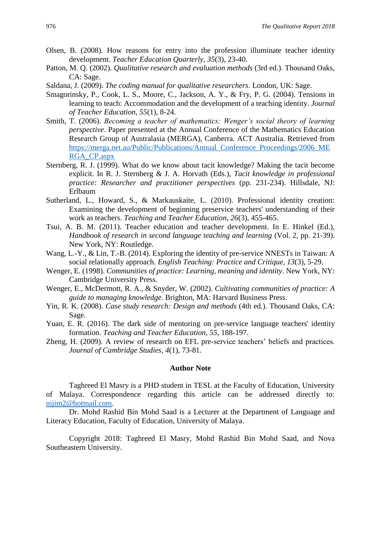- Olsen, B. (2008). How reasons for entry into the profession illuminate teacher identity development. *Teacher Education Quarterly, 35*(3), 23-40.
- Patton, M. Q. (2002). *Qualitative research and evaluation methods* (3rd ed.). Thousand Oaks, CA: Sage.
- Saldana, J. (2009). *The coding manual for qualitative researchers*. London, UK: Sage.
- Smagorinsky, P., Cook, L. S., Moore, C., Jackson, A. Y., & Fry, P. G. (2004). Tensions in learning to teach: Accommodation and the development of a teaching identity. *Journal of Teacher Education, 55*(1), 8-24.
- Smith, T. (2006). *Becoming a teacher of mathematics: Wenger's social theory of learning perspective*. Paper presented at the Annual Conference of the Mathematics Education Research Group of Australasia (MERGA), Canberra. ACT Australia. Retrieved from [https://merga.net.au/Public/Publications/Annual\\_Conference\\_Proceedings/2006\\_ME](https://merga.net.au/Public/Publications/Annual_Conference_Proceedings/2006_MERGA_CP.aspx) [RGA\\_CP.aspx](https://merga.net.au/Public/Publications/Annual_Conference_Proceedings/2006_MERGA_CP.aspx)
- Sternberg, R. J. (1999). What do we know about tacit knowledge? Making the tacit become explicit. In R. J. Sternberg & J. A. Horvath (Eds.), *Tacit knowledge in professional practice: Researcher and practitioner perspectives* (pp. 231-234). Hillsdale, NJ: Erlbaum
- Sutherland, L., Howard, S., & Markauskaite, L. (2010). Professional identity creation: Examining the development of beginning preservice teachers' understanding of their work as teachers. *Teaching and Teacher Education, 26*(3), 455-465.
- Tsui, A. B. M. (2011). Teacher education and teacher development. In E. Hinkel (Ed.), *Handbook of research in second language teaching and learning (Vol. 2, pp. 21-39).* New York, NY: Routledge.
- Wang, L.-Y., & Lin, T.-B. (2014). Exploring the identity of pre-service NNESTs in Taiwan: A social relationally approach. *English Teaching: Practice and Critique, 13*(3), 5-29.
- Wenger, E. (1998). *Communities of practice: Learning, meaning and identity*. New York, NY: Cambridge University Press.
- Wenger, E., McDermott, R. A., & Snyder, W. (2002). *Cultivating communities of practice: A guide to managing knowledge*. Brighton, MA: Harvard Business Press.
- Yin, R. K. (2008). *Case study research: Design and methods* (4th ed.). Thousand Oaks, CA: Sage.
- Yuan, E. R. (2016). The dark side of mentoring on pre-service language teachers' identity formation. *Teaching and Teacher Education, 55*, 188-197.
- Zheng, H. (2009). A review of research on EFL pre-service teachers' beliefs and practices. *Journal of Cambridge Studies, 4*(1), 73-81.

# **Author Note**

Taghreed El Masry is a PHD student in TESL at the Faculty of Education, University of Malaya. Correspondence regarding this article can be addressed directly to: [nijim2@hotmail.com.](mailto:nijim2@hotmail.com)

Dr. Mohd Rashid Bin Mohd Saad is a Lecturer at the Department of Language and Literacy Education, Faculty of Education, University of Malaya.

Copyright 2018: Taghreed El Masry, Mohd Rashid Bin Mohd Saad, and Nova Southeastern University.